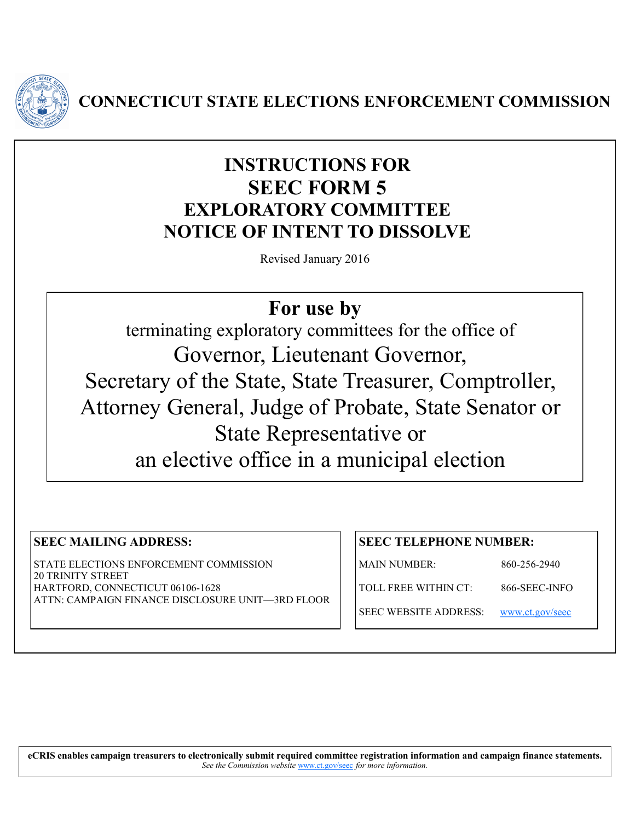

**CONNECTICUT STATE ELECTIONS ENFORCEMENT COMMISSION**

# **INSTRUCTIONS FOR SEEC FORM 5 EXPLORATORY COMMITTEE NOTICE OF INTENT TO DISSOLVE**

Revised January 2016

# **For use by**

terminating exploratory committees for the office of Governor, Lieutenant Governor, Secretary of the State, State Treasurer, Comptroller, Attorney General, Judge of Probate, State Senator or State Representative or an elective office in a municipal election

## **SEEC MAILING ADDRESS:**

STATE ELECTIONS ENFORCEMENT COMMISSION 20 TRINITY STREET HARTFORD, CONNECTICUT 06106-1628 ATTN: CAMPAIGN FINANCE DISCLOSURE UNIT—3RD FLOOR

#### **SEEC TELEPHONE NUMBER:**

MAIN NUMBER: 860-256-2940

TOLL FREE WITHIN CT: 866-SEEC-INFO

SEEC WEBSITE ADDRESS: [www.ct.gov/seec](http://www.ct.gov/seec)

**eCRIS enables campaign treasurers to electronically submit required committee registration information and campaign finance statements.** 

*See the Commission website* [www.ct.gov/seec](http://www.ct.gov/seec) *for more information.*